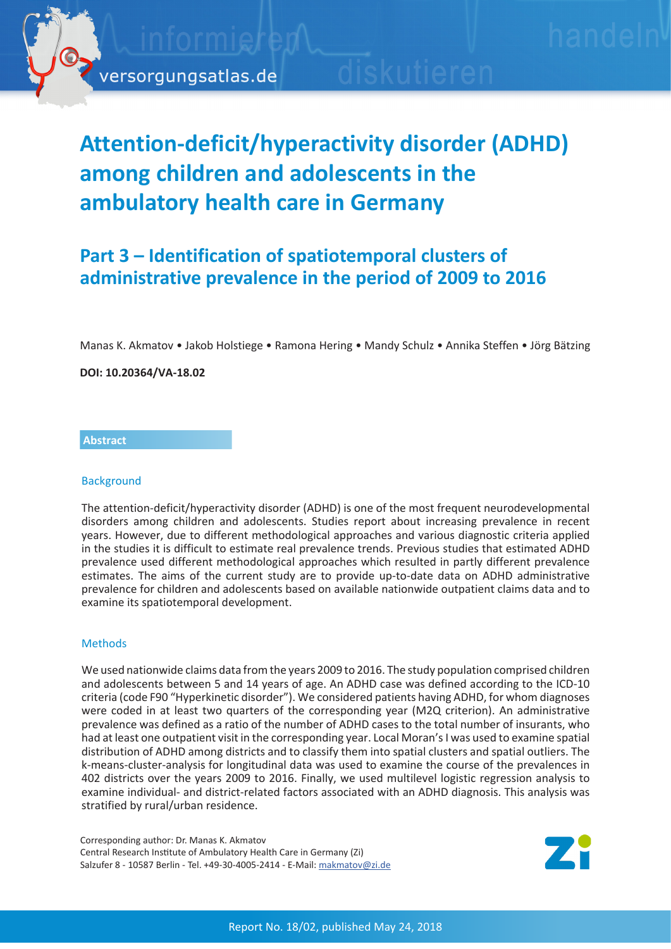

# **Attention-deficit/hyperactivity disorder (ADHD) among children and adolescents in the ambulatory health care in Germany**

## **Part 3 – Identification of spatiotemporal clusters of administrative prevalence in the period of 2009 to 2016**

Manas K. Akmatov • Jakob Holstiege • Ramona Hering • Mandy Schulz • Annika Steffen • Jörg Bätzing

**DOI: 10.20364/VA-18.02**

### **Abstract**

### **Background**

The attention-deficit/hyperactivity disorder (ADHD) is one of the most frequent neurodevelopmental disorders among children and adolescents. Studies report about increasing prevalence in recent years. However, due to different methodological approaches and various diagnostic criteria applied in the studies it is difficult to estimate real prevalence trends. Previous studies that estimated ADHD prevalence used different methodological approaches which resulted in partly different prevalence estimates. The aims of the current study are to provide up-to-date data on ADHD administrative prevalence for children and adolescents based on available nationwide outpatient claims data and to examine its spatiotemporal development.

### **Methods**

We used nationwide claims data from the years 2009 to 2016. The study population comprised children and adolescents between 5 and 14 years of age. An ADHD case was defined according to the ICD-10 criteria (code F90 "Hyperkinetic disorder"). We considered patients having ADHD, for whom diagnoses were coded in at least two quarters of the corresponding year (M2Q criterion). An administrative prevalence was defined as a ratio of the number of ADHD cases to the total number of insurants, who had at least one outpatient visit in the corresponding year. Local Moran's I was used to examine spatial distribution of ADHD among districts and to classify them into spatial clusters and spatial outliers. The k-means-cluster-analysis for longitudinal data was used to examine the course of the prevalences in 402 districts over the years 2009 to 2016. Finally, we used multilevel logistic regression analysis to examine individual- and district-related factors associated with an ADHD diagnosis. This analysis was stratified by rural/urban residence.

Corresponding author: Dr. Manas K. Akmatov Central Research Institute of Ambulatory Health Care in Germany (Zi) Salzufer 8 - 10587 Berlin - Tel. +49-30-4005-2414 - E-Mail: makmatov@zi.de